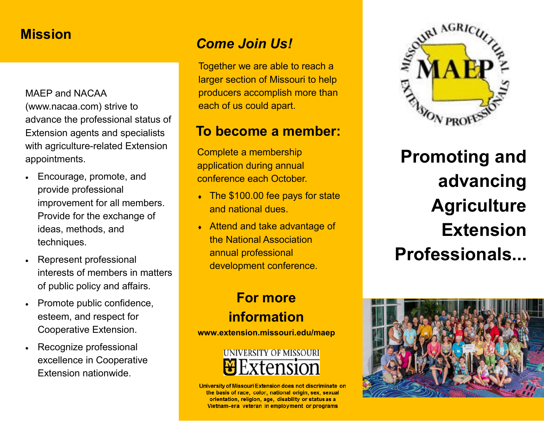## **Mission**

MAEP and NACAA (www.nacaa.com) strive to advance the professional status of Extension agents and specialists with agriculture-related Extension appointments.

- Encourage, promote, and provide professional improvement for all members. Provide for the exchange of ideas, methods, and techniques.
- Represent professional interests of members in matters of public policy and affairs.
- Promote public confidence, esteem, and respect for Cooperative Extension.
- Recognize professional excellence in Cooperative Extension nationwide.

# *Come Join Us!*

Together we are able to reach a larger section of Missouri to help producers accomplish more than each of us could apart.

#### **To become a member:**

Complete a membership application during annual conference each October.

- The \$100.00 fee pays for state and national dues.
- ◆ Attend and take advantage of the National Association annual professional development conference.

## **For more information**

**www.extension.missouri.edu/maep**



University of Missouri Extension does not discriminate on the basis of race, color, national origin, sex, sexual orientation, religion, age, disability or status as a Vietnam-era veteran in employment or programs



**Promoting and advancing Agriculture Extension Professionals...**